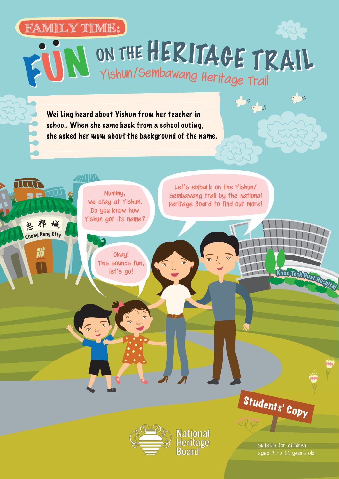#### **FAMILY TIME: FAMILY TIME:**

5033 FUN ON THE HERITAGE TRAIL

Wei Ling heard about Yishun from her teacher in school. When she came back from a school outing, she asked her mum about the background of the name.





Vational leritage

Suitable for children aged 7 to 11 years old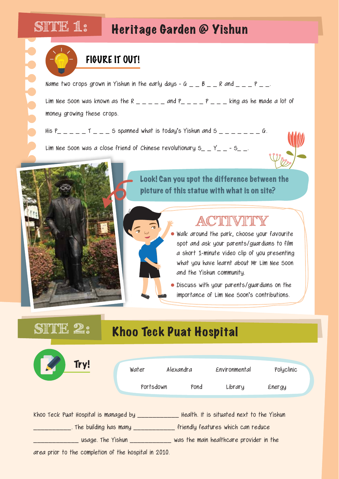### **SITE 1:**

200000

### Heritage Garden @ Yishun

Name two crops grown in Yishun in the early days - G  $\_$   $\_$  B  $\_$   $\_$  R and  $\_$   $\_$   $\_$  P  $\_$   $\_$ .

Lim Nee Soon was known as the R  $-$  and P  $P$   $-$  king as he made a lot of money growing these crops.

His  $P_$   $_$   $_$   $_$   $_$   $_$   $_$   $_$   $=$   $_$   $_$   $=$   $_$   $_$   $=$   $_$   $_$   $=$   $_$   $_$   $=$   $_$   $=$   $_$   $=$   $_$   $=$   $_$   $=$   $_$   $=$   $_$   $=$   $_$   $=$   $_$   $=$   $_$   $=$   $_$   $=$   $_$   $=$   $_$   $=$   $_$   $=$   $_$   $=$   $_$   $=$   $_$   $=$   $_$ 

Lim Nee Soon was a close friend of Chinese revolutionary  $S_ - Y_- - S_-$ .



#### Look! Can you spot the difference between the picture of this statue with what is on site?

### **ACTIVITY**

o Walk around the park, choose your favourite spot and ask your parents/guardians to film a short 1-minute video clip of you presenting what you have learnt about Mr Lim Nee Soon and the Yishun community.

Discuss with your parents/guardians on the importance of Lim Nee Soon's contributions.

# SITTE 2: Khoo Teck Puat Hospital Khoo Teck Puat Hospital is managed by \_\_\_\_\_\_\_\_\_\_\_\_\_\_Health. It is situated next to the Yishun \_\_\_\_\_\_\_\_\_\_. The building has many \_\_\_\_\_\_\_\_\_\_\_ friendly features which can reduce \_\_\_\_\_\_\_\_\_\_\_\_ usage. The Yishun \_\_\_\_\_\_\_\_\_\_\_ was the main healthcare provider in the area prior to the completion of the hospital in 2o1o. Try! Water Alexandra Environmental Polyclinic Portsdown Pond Library Energy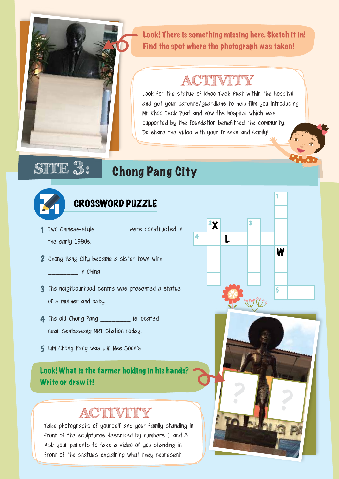

Look! There is something missing here. Sketch it in! Find the spot where the photograph was taken!

### **ACTIVITY**

Look for the statue of Khoo Teck Puat within the hospital and get your parents/guardians to help film you introducing Mr Khoo Teck Puat and how the hospital which was supported by the foundation benefitted the community. Do share the video with your friends and family!

 $\mathbf{z}$ 

4

L

W

5

## **SITE 3:** Chong Pang City



#### CROSSWORD PUZZLE

- Two Chinese-style \_\_\_\_\_\_\_\_ were constructed in 1 the early 199os.
- 2 Chong Pang City became a sister town with

\_\_\_\_\_\_\_\_ in China.

- **3** The neighbourhood centre was presented a statue of a mother and baby \_\_\_\_\_\_\_\_.
- The old Chong Pang \_\_\_\_\_\_\_\_ is located 4 near Sembawang MRT Station today.
- $5$  Lim Chong Pang was Lim Nee Soon's \_\_\_\_\_\_\_\_\_

# Look! What is the farmer holding in his hands? Write or draw it!<br>A corresponding to the set of the set of the set of the set of the set of the set of the set of the set of the set of the set of the set of the set of the set of the set of the set of the set of the set o

### **ACTIVITY**

Take photographs of yourself and your family standing in front of the sculptures described by numbers 1 and 3. Ask your parents to take a video of you standing in front of the statues explaining what they represent.